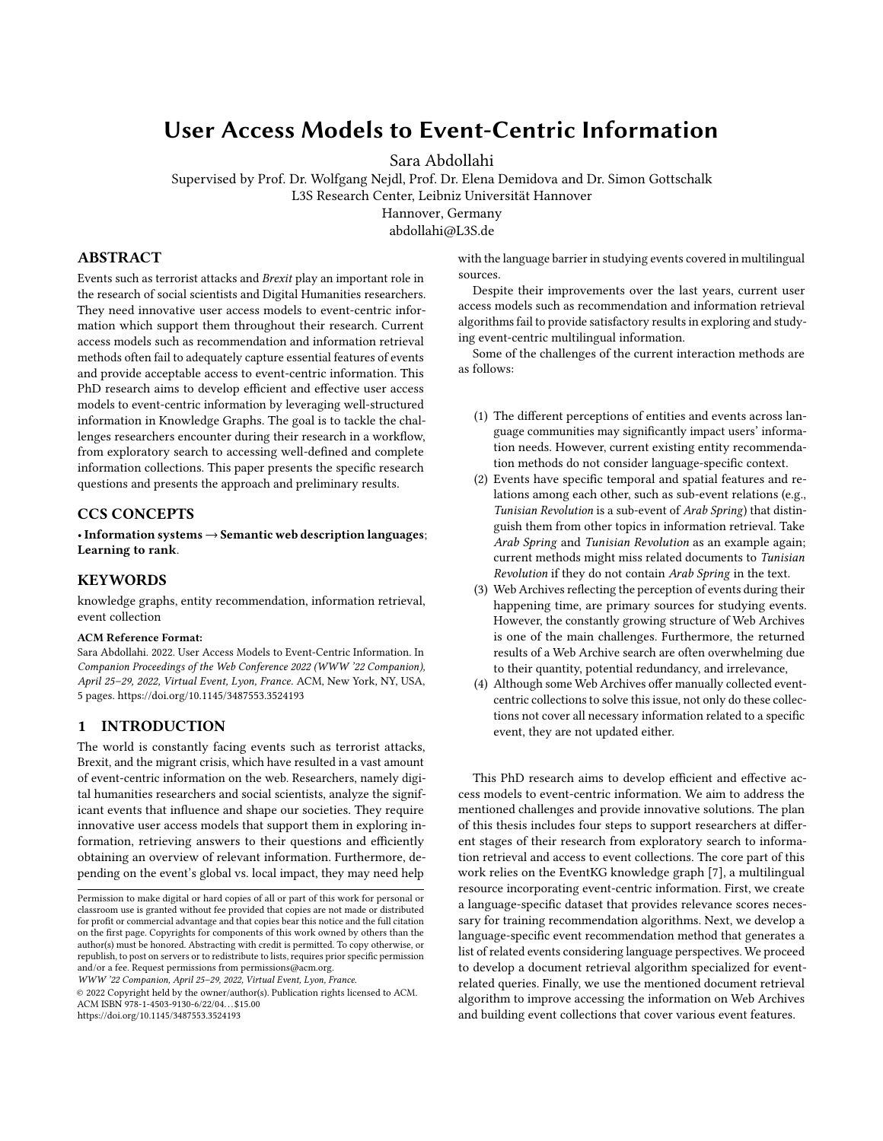# User Access Models to Event-Centric Information

Sara Abdollahi

Supervised by Prof. Dr. Wolfgang Nejdl, Prof. Dr. Elena Demidova and Dr. Simon Gottschalk L3S Research Center, Leibniz Universität Hannover

Hannover, Germany

abdollahi@L3S.de

## ABSTRACT

Events such as terrorist attacks and Brexit play an important role in the research of social scientists and Digital Humanities researchers. They need innovative user access models to event-centric information which support them throughout their research. Current access models such as recommendation and information retrieval methods often fail to adequately capture essential features of events and provide acceptable access to event-centric information. This PhD research aims to develop efficient and effective user access models to event-centric information by leveraging well-structured information in Knowledge Graphs. The goal is to tackle the challenges researchers encounter during their research in a workflow, from exploratory search to accessing well-defined and complete information collections. This paper presents the specific research questions and presents the approach and preliminary results.

## CCS CONCEPTS

•Information systems→Semantic web description languages; Learning to rank.

#### **KEYWORDS**

knowledge graphs, entity recommendation, information retrieval, event collection

#### ACM Reference Format:

Sara Abdollahi. 2022. User Access Models to Event-Centric Information. In Companion Proceedings of the Web Conference 2022 (WWW '22 Companion), April 25–29, 2022, Virtual Event, Lyon, France. ACM, New York, NY, USA, [5](#page-4-0) pages.<https://doi.org/10.1145/3487553.3524193>

### 1 INTRODUCTION

The world is constantly facing events such as terrorist attacks, Brexit, and the migrant crisis, which have resulted in a vast amount of event-centric information on the web. Researchers, namely digital humanities researchers and social scientists, analyze the significant events that influence and shape our societies. They require innovative user access models that support them in exploring information, retrieving answers to their questions and efficiently obtaining an overview of relevant information. Furthermore, depending on the event's global vs. local impact, they may need help

WWW '22 Companion, April 25–29, 2022, Virtual Event, Lyon, France.

© 2022 Copyright held by the owner/author(s). Publication rights licensed to ACM. ACM ISBN 978-1-4503-9130-6/22/04. . . \$15.00 <https://doi.org/10.1145/3487553.3524193>

with the language barrier in studying events covered in multilingual sources.

Despite their improvements over the last years, current user access models such as recommendation and information retrieval algorithms fail to provide satisfactory results in exploring and studying event-centric multilingual information.

Some of the challenges of the current interaction methods are as follows:

- (1) The different perceptions of entities and events across language communities may significantly impact users' information needs. However, current existing entity recommendation methods do not consider language-specific context.
- (2) Events have specific temporal and spatial features and relations among each other, such as sub-event relations (e.g., Tunisian Revolution is a sub-event of Arab Spring) that distinguish them from other topics in information retrieval. Take Arab Spring and Tunisian Revolution as an example again; current methods might miss related documents to Tunisian Revolution if they do not contain Arab Spring in the text.
- (3) Web Archives reflecting the perception of events during their happening time, are primary sources for studying events. However, the constantly growing structure of Web Archives is one of the main challenges. Furthermore, the returned results of a Web Archive search are often overwhelming due to their quantity, potential redundancy, and irrelevance,
- (4) Although some Web Archives offer manually collected eventcentric collections to solve this issue, not only do these collections not cover all necessary information related to a specific event, they are not updated either.

This PhD research aims to develop efficient and effective access models to event-centric information. We aim to address the mentioned challenges and provide innovative solutions. The plan of this thesis includes four steps to support researchers at different stages of their research from exploratory search to information retrieval and access to event collections. The core part of this work relies on the EventKG knowledge graph [\[7\]](#page-4-1), a multilingual resource incorporating event-centric information. First, we create a language-specific dataset that provides relevance scores necessary for training recommendation algorithms. Next, we develop a language-specific event recommendation method that generates a list of related events considering language perspectives. We proceed to develop a document retrieval algorithm specialized for eventrelated queries. Finally, we use the mentioned document retrieval algorithm to improve accessing the information on Web Archives and building event collections that cover various event features.

Permission to make digital or hard copies of all or part of this work for personal or classroom use is granted without fee provided that copies are not made or distributed for profit or commercial advantage and that copies bear this notice and the full citation on the first page. Copyrights for components of this work owned by others than the author(s) must be honored. Abstracting with credit is permitted. To copy otherwise, or republish, to post on servers or to redistribute to lists, requires prior specific permission and/or a fee. Request permissions from permissions@acm.org.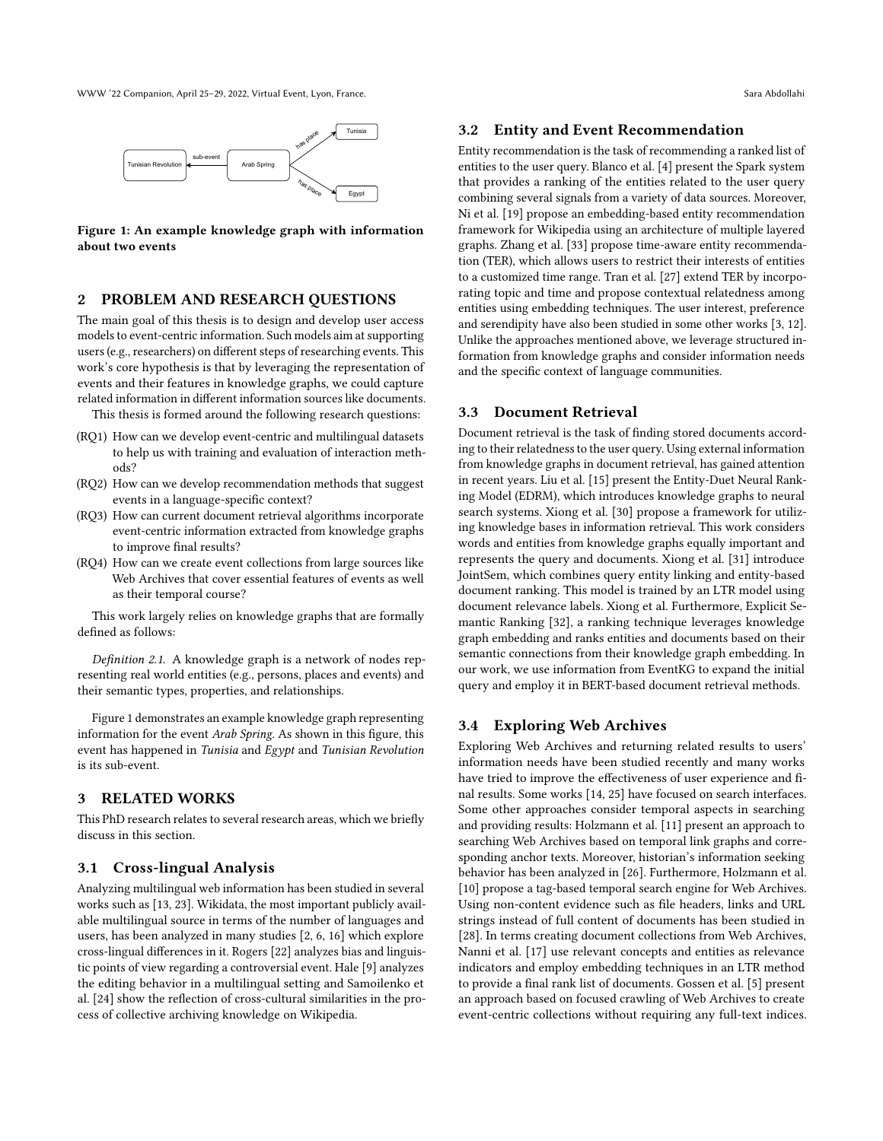<span id="page-1-0"></span>WWW '22 Companion, April 25–29, 2022, Virtual Event, Lyon, France. Sara Abdollahi



Figure 1: An example knowledge graph with information about two events

## <span id="page-1-1"></span>2 PROBLEM AND RESEARCH QUESTIONS

The main goal of this thesis is to design and develop user access models to event-centric information. Such models aim at supporting users (e.g., researchers) on different steps of researching events. This work's core hypothesis is that by leveraging the representation of events and their features in knowledge graphs, we could capture related information in different information sources like documents.

This thesis is formed around the following research questions:

- (RQ1) How can we develop event-centric and multilingual datasets to help us with training and evaluation of interaction methods?
- (RQ2) How can we develop recommendation methods that suggest events in a language-specific context?
- (RQ3) How can current document retrieval algorithms incorporate event-centric information extracted from knowledge graphs to improve final results?
- (RQ4) How can we create event collections from large sources like Web Archives that cover essential features of events as well as their temporal course?

This work largely relies on knowledge graphs that are formally defined as follows:

Definition 2.1. A knowledge graph is a network of nodes representing real world entities (e.g., persons, places and events) and their semantic types, properties, and relationships.

Figure [1](#page-1-0) demonstrates an example knowledge graph representing information for the event Arab Spring. As shown in this figure, this event has happened in Tunisia and Egypt and Tunisian Revolution is its sub-event.

## 3 RELATED WORKS

This PhD research relates to several research areas, which we briefly discuss in this section.

#### 3.1 Cross-lingual Analysis

Analyzing multilingual web information has been studied in several works such as [\[13,](#page-4-2) [23\]](#page-4-3). Wikidata, the most important publicly available multilingual source in terms of the number of languages and users, has been analyzed in many studies [\[2,](#page-4-4) [6,](#page-4-5) [16\]](#page-4-6) which explore cross-lingual differences in it. Rogers [\[22\]](#page-4-7) analyzes bias and linguistic points of view regarding a controversial event. Hale [\[9\]](#page-4-8) analyzes the editing behavior in a multilingual setting and Samoilenko et al. [\[24\]](#page-4-9) show the reflection of cross-cultural similarities in the process of collective archiving knowledge on Wikipedia.

#### 3.2 Entity and Event Recommendation

Entity recommendation is the task of recommending a ranked list of entities to the user query. Blanco et al. [\[4\]](#page-4-10) present the Spark system that provides a ranking of the entities related to the user query combining several signals from a variety of data sources. Moreover, Ni et al. [\[19\]](#page-4-11) propose an embedding-based entity recommendation framework for Wikipedia using an architecture of multiple layered graphs. Zhang et al. [\[33\]](#page-4-12) propose time-aware entity recommendation (TER), which allows users to restrict their interests of entities to a customized time range. Tran et al. [\[27\]](#page-4-13) extend TER by incorporating topic and time and propose contextual relatedness among entities using embedding techniques. The user interest, preference and serendipity have also been studied in some other works [\[3,](#page-4-14) [12\]](#page-4-15). Unlike the approaches mentioned above, we leverage structured information from knowledge graphs and consider information needs and the specific context of language communities.

## 3.3 Document Retrieval

Document retrieval is the task of finding stored documents according to their relatedness to the user query. Using external information from knowledge graphs in document retrieval, has gained attention in recent years. Liu et al. [\[15\]](#page-4-16) present the Entity-Duet Neural Ranking Model (EDRM), which introduces knowledge graphs to neural search systems. Xiong et al. [\[30\]](#page-4-17) propose a framework for utilizing knowledge bases in information retrieval. This work considers words and entities from knowledge graphs equally important and represents the query and documents. Xiong et al. [\[31\]](#page-4-18) introduce JointSem, which combines query entity linking and entity-based document ranking. This model is trained by an LTR model using document relevance labels. Xiong et al. Furthermore, Explicit Semantic Ranking [\[32\]](#page-4-19), a ranking technique leverages knowledge graph embedding and ranks entities and documents based on their semantic connections from their knowledge graph embedding. In our work, we use information from EventKG to expand the initial query and employ it in BERT-based document retrieval methods.

## 3.4 Exploring Web Archives

Exploring Web Archives and returning related results to users' information needs have been studied recently and many works have tried to improve the effectiveness of user experience and final results. Some works [\[14,](#page-4-20) [25\]](#page-4-21) have focused on search interfaces. Some other approaches consider temporal aspects in searching and providing results: Holzmann et al. [\[11\]](#page-4-22) present an approach to searching Web Archives based on temporal link graphs and corresponding anchor texts. Moreover, historian's information seeking behavior has been analyzed in [\[26\]](#page-4-23). Furthermore, Holzmann et al. [\[10\]](#page-4-24) propose a tag-based temporal search engine for Web Archives. Using non-content evidence such as file headers, links and URL strings instead of full content of documents has been studied in [\[28\]](#page-4-25). In terms creating document collections from Web Archives, Nanni et al. [\[17\]](#page-4-26) use relevant concepts and entities as relevance indicators and employ embedding techniques in an LTR method to provide a final rank list of documents. Gossen et al. [\[5\]](#page-4-27) present an approach based on focused crawling of Web Archives to create event-centric collections without requiring any full-text indices.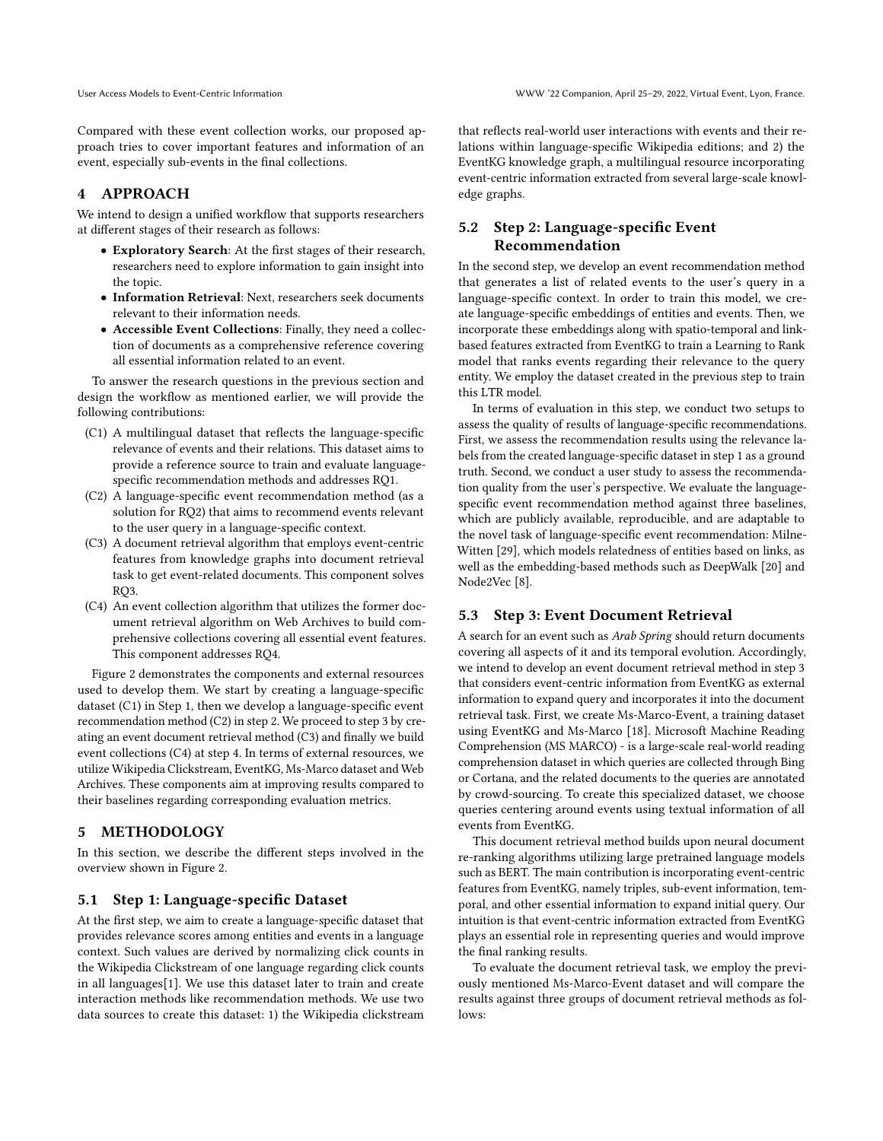Compared with these event collection works, our proposed approach tries to cover important features and information of an event, especially sub-events in the final collections.

### 4 APPROACH

We intend to design a unified workflow that supports researchers at different stages of their research as follows:

- Exploratory Search: At the first stages of their research, researchers need to explore information to gain insight into the topic.
- Information Retrieval: Next, researchers seek documents relevant to their information needs.
- Accessible Event Collections: Finally, they need a collection of documents as a comprehensive reference covering all essential information related to an event.

To answer the research questions in the previous section and design the workflow as mentioned earlier, we will provide the following contributions:

- (C1) A multilingual dataset that reflects the language-specific relevance of events and their relations. This dataset aims to provide a reference source to train and evaluate languagespecific recommendation methods and addresses RQ1.
- (C2) A language-specific event recommendation method (as a solution for RQ2) that aims to recommend events relevant to the user query in a language-specific context.
- (C3) A document retrieval algorithm that employs event-centric features from knowledge graphs into document retrieval task to get event-related documents. This component solves RQ3.
- (C4) An event collection algorithm that utilizes the former document retrieval algorithm on Web Archives to build comprehensive collections covering all essential event features. This component addresses RQ4.

Figure [2](#page-3-0) demonstrates the components and external resources used to develop them. We start by creating a language-specific dataset (C1) in Step 1, then we develop a language-specific event recommendation method (C2) in step 2. We proceed to step 3 by creating an event document retrieval method (C3) and finally we build event collections (C4) at step 4. In terms of external resources, we utilize Wikipedia Clickstream, EventKG, Ms-Marco dataset and Web Archives. These components aim at improving results compared to their baselines regarding corresponding evaluation metrics.

## <span id="page-2-0"></span>5 METHODOLOGY

In this section, we describe the different steps involved in the overview shown in Figure [2.](#page-3-0)

#### 5.1 Step 1: Language-specific Dataset

At the first step, we aim to create a language-specific dataset that provides relevance scores among entities and events in a language context. Such values are derived by normalizing click counts in the Wikipedia Clickstream of one language regarding click counts in all languages[\[1\]](#page-4-28). We use this dataset later to train and create interaction methods like recommendation methods. We use two data sources to create this dataset: 1) the Wikipedia clickstream that reflects real-world user interactions with events and their relations within language-specific Wikipedia editions; and 2) the EventKG knowledge graph, a multilingual resource incorporating event-centric information extracted from several large-scale knowledge graphs.

## 5.2 Step 2: Language-specific Event Recommendation

In the second step, we develop an event recommendation method that generates a list of related events to the user's query in a language-specific context. In order to train this model, we create language-specific embeddings of entities and events. Then, we incorporate these embeddings along with spatio-temporal and linkbased features extracted from EventKG to train a Learning to Rank model that ranks events regarding their relevance to the query entity. We employ the dataset created in the previous step to train this LTR model.

In terms of evaluation in this step, we conduct two setups to assess the quality of results of language-specific recommendations. First, we assess the recommendation results using the relevance labels from the created language-specific dataset in step 1 as a ground truth. Second, we conduct a user study to assess the recommendation quality from the user's perspective. We evaluate the languagespecific event recommendation method against three baselines, which are publicly available, reproducible, and are adaptable to the novel task of language-specific event recommendation: Milne-Witten [\[29\]](#page-4-29), which models relatedness of entities based on links, as well as the embedding-based methods such as DeepWalk [\[20\]](#page-4-30) and Node2Vec [\[8\]](#page-4-31).

#### 5.3 Step 3: Event Document Retrieval

A search for an event such as Arab Spring should return documents covering all aspects of it and its temporal evolution. Accordingly, we intend to develop an event document retrieval method in step 3 that considers event-centric information from EventKG as external information to expand query and incorporates it into the document retrieval task. First, we create Ms-Marco-Event, a training dataset using EventKG and Ms-Marco [\[18\]](#page-4-32). Microsoft Machine Reading Comprehension (MS MARCO) - is a large-scale real-world reading comprehension dataset in which queries are collected through Bing or Cortana, and the related documents to the queries are annotated by crowd-sourcing. To create this specialized dataset, we choose queries centering around events using textual information of all events from EventKG.

This document retrieval method builds upon neural document re-ranking algorithms utilizing large pretrained language models such as BERT. The main contribution is incorporating event-centric features from EventKG, namely triples, sub-event information, temporal, and other essential information to expand initial query. Our intuition is that event-centric information extracted from EventKG plays an essential role in representing queries and would improve the final ranking results.

To evaluate the document retrieval task, we employ the previously mentioned Ms-Marco-Event dataset and will compare the results against three groups of document retrieval methods as follows: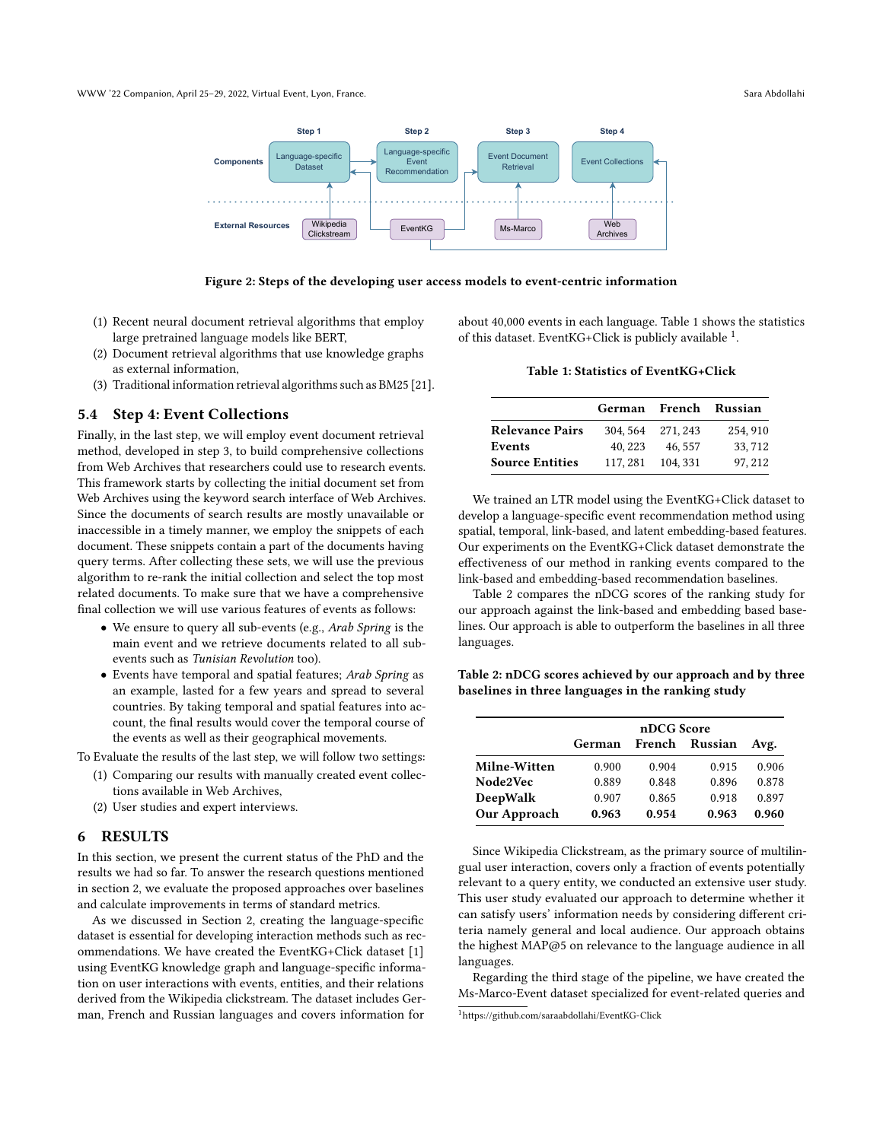<span id="page-3-0"></span>

Figure 2: Steps of the developing user access models to event-centric information

- (1) Recent neural document retrieval algorithms that employ large pretrained language models like BERT,
- (2) Document retrieval algorithms that use knowledge graphs as external information,
- (3) Traditional information retrieval algorithms such as BM25 [\[21\]](#page-4-33).

#### 5.4 Step 4: Event Collections

Finally, in the last step, we will employ event document retrieval method, developed in step 3, to build comprehensive collections from Web Archives that researchers could use to research events. This framework starts by collecting the initial document set from Web Archives using the keyword search interface of Web Archives. Since the documents of search results are mostly unavailable or inaccessible in a timely manner, we employ the snippets of each document. These snippets contain a part of the documents having query terms. After collecting these sets, we will use the previous algorithm to re-rank the initial collection and select the top most related documents. To make sure that we have a comprehensive final collection we will use various features of events as follows:

- We ensure to query all sub-events (e.g., Arab Spring is the main event and we retrieve documents related to all subevents such as Tunisian Revolution too).
- Events have temporal and spatial features; Arab Spring as an example, lasted for a few years and spread to several countries. By taking temporal and spatial features into account, the final results would cover the temporal course of the events as well as their geographical movements.

To Evaluate the results of the last step, we will follow two settings:

- (1) Comparing our results with manually created event collections available in Web Archives,
- (2) User studies and expert interviews.

#### 6 RESULTS

In this section, we present the current status of the PhD and the results we had so far. To answer the research questions mentioned in section [2,](#page-1-1) we evaluate the proposed approaches over baselines and calculate improvements in terms of standard metrics.

As we discussed in Section [2,](#page-1-1) creating the language-specific dataset is essential for developing interaction methods such as recommendations. We have created the EventKG+Click dataset [\[1\]](#page-4-28) using EventKG knowledge graph and language-specific information on user interactions with events, entities, and their relations derived from the Wikipedia clickstream. The dataset includes German, French and Russian languages and covers information for

<span id="page-3-1"></span>about 40,000 events in each language. Table [1](#page-3-1) shows the statistics of this dataset. EventKG+Click is publicly available <sup>[1](#page-3-2)</sup>.

#### Table 1: Statistics of EventKG+Click

|                        |          |                 | German French Russian |
|------------------------|----------|-----------------|-----------------------|
| <b>Relevance Pairs</b> |          | 304.564 271.243 | 254, 910              |
| Events                 | 40, 223  | 46.557          | 33, 712               |
| <b>Source Entities</b> | 117, 281 | 104.331         | 97.212                |

We trained an LTR model using the EventKG+Click dataset to develop a language-specific event recommendation method using spatial, temporal, link-based, and latent embedding-based features. Our experiments on the EventKG+Click dataset demonstrate the effectiveness of our method in ranking events compared to the link-based and embedding-based recommendation baselines.

Table [2](#page-3-3) compares the nDCG scores of the ranking study for our approach against the link-based and embedding based baselines. Our approach is able to outperform the baselines in all three languages.

<span id="page-3-3"></span>Table 2: nDCG scores achieved by our approach and by three baselines in three languages in the ranking study

|              | nDCG Score |       |                |       |
|--------------|------------|-------|----------------|-------|
|              | German     |       | French Russian | Avg.  |
| Milne-Witten | 0.900      | 0.904 | 0.915          | 0.906 |
| Node2Vec     | 0.889      | 0.848 | 0.896          | 0.878 |
| DeepWalk     | 0.907      | 0.865 | 0.918          | 0.897 |
| Our Approach | 0.963      | 0.954 | 0.963          | 0.960 |

Since Wikipedia Clickstream, as the primary source of multilingual user interaction, covers only a fraction of events potentially relevant to a query entity, we conducted an extensive user study. This user study evaluated our approach to determine whether it can satisfy users' information needs by considering different criteria namely general and local audience. Our approach obtains the highest MAP@5 on relevance to the language audience in all languages.

Regarding the third stage of the pipeline, we have created the Ms-Marco-Event dataset specialized for event-related queries and

<span id="page-3-2"></span><sup>1</sup><https://github.com/saraabdollahi/EventKG-Click>